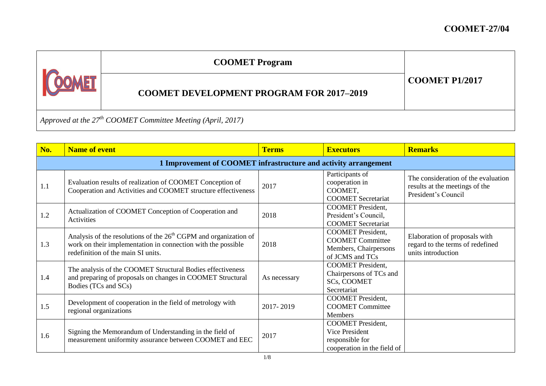|                                                                  | <b>COOMET Program</b>                           |                       |  |  |
|------------------------------------------------------------------|-------------------------------------------------|-----------------------|--|--|
|                                                                  | <b>COOMET DEVELOPMENT PROGRAM FOR 2017-2019</b> | <b>COOMET P1/2017</b> |  |  |
| Approved at the $27^{th}$ COOMET Committee Meeting (April, 2017) |                                                 |                       |  |  |

| No. | <b>Name of event</b>                                                                                                                                                     | <b>Terms</b> | <b>Executors</b>                                                                                | <b>Remarks</b>                                                                               |  |  |
|-----|--------------------------------------------------------------------------------------------------------------------------------------------------------------------------|--------------|-------------------------------------------------------------------------------------------------|----------------------------------------------------------------------------------------------|--|--|
|     | 1 Improvement of COOMET infrastructure and activity arrangement                                                                                                          |              |                                                                                                 |                                                                                              |  |  |
| 1.1 | Evaluation results of realization of COOMET Conception of<br>Cooperation and Activities and COOMET structure effectiveness                                               | 2017         | Participants of<br>cooperation in<br>COOMET,<br><b>COOMET</b> Secretariat                       | The consideration of the evaluation<br>results at the meetings of the<br>President's Council |  |  |
| 1.2 | Actualization of COOMET Conception of Cooperation and<br><b>Activities</b>                                                                                               | 2018         | <b>COOMET</b> President,<br>President's Council,<br><b>COOMET</b> Secretariat                   |                                                                                              |  |  |
| 1.3 | Analysis of the resolutions of the $26th$ CGPM and organization of<br>work on their implementation in connection with the possible<br>redefinition of the main SI units. | 2018         | <b>COOMET</b> President,<br><b>COOMET Committee</b><br>Members, Chairpersons<br>of JCMS and TCs | Elaboration of proposals with<br>regard to the terms of redefined<br>units introduction      |  |  |
| 1.4 | The analysis of the COOMET Structural Bodies effectiveness<br>and preparing of proposals on changes in COOMET Structural<br>Bodies (TCs and SCs)                         | As necessary | <b>COOMET</b> President,<br>Chairpersons of TCs and<br>SCs, COOMET<br>Secretariat               |                                                                                              |  |  |
| 1.5 | Development of cooperation in the field of metrology with<br>regional organizations                                                                                      | 2017-2019    | <b>COOMET</b> President,<br><b>COOMET Committee</b><br>Members                                  |                                                                                              |  |  |
| 1.6 | Signing the Memorandum of Understanding in the field of<br>measurement uniformity assurance between COOMET and EEC                                                       | 2017         | <b>COOMET</b> President,<br>Vice President<br>responsible for<br>cooperation in the field of    |                                                                                              |  |  |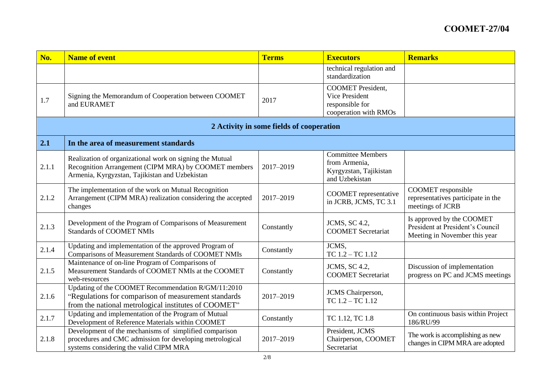| No.   | <b>Name of event</b>                                                                                                                                               | <b>Terms</b>                             | <b>Executors</b>                                                                       | <b>Remarks</b>                                                                                 |
|-------|--------------------------------------------------------------------------------------------------------------------------------------------------------------------|------------------------------------------|----------------------------------------------------------------------------------------|------------------------------------------------------------------------------------------------|
|       |                                                                                                                                                                    |                                          | technical regulation and<br>standardization                                            |                                                                                                |
| 1.7   | Signing the Memorandum of Cooperation between COOMET<br>and EURAMET                                                                                                | 2017                                     | <b>COOMET</b> President,<br>Vice President<br>responsible for<br>cooperation with RMOs |                                                                                                |
|       |                                                                                                                                                                    | 2 Activity in some fields of cooperation |                                                                                        |                                                                                                |
| 2.1   | In the area of measurement standards                                                                                                                               |                                          |                                                                                        |                                                                                                |
| 2.1.1 | Realization of organizational work on signing the Mutual<br>Recognition Arrangement (CIPM MRA) by COOMET members<br>Armenia, Kyrgyzstan, Tajikistan and Uzbekistan | 2017-2019                                | <b>Committee Members</b><br>from Armenia,<br>Kyrgyzstan, Tajikistan<br>and Uzbekistan  |                                                                                                |
| 2.1.2 | The implementation of the work on Mutual Recognition<br>Arrangement (CIPM MRA) realization considering the accepted<br>changes                                     | 2017-2019                                | <b>COOMET</b> representative<br>in JCRB, JCMS, TC 3.1                                  | COOMET responsible<br>representatives participate in the<br>meetings of JCRB                   |
| 2.1.3 | Development of the Program of Comparisons of Measurement<br><b>Standards of COOMET NMIs</b>                                                                        | Constantly                               | JCMS, SC 4.2,<br><b>COOMET</b> Secretariat                                             | Is approved by the COOMET<br>President at President's Council<br>Meeting in November this year |
| 2.1.4 | Updating and implementation of the approved Program of<br>Comparisons of Measurement Standards of COOMET NMIs                                                      | Constantly                               | JCMS.<br>TC 1.2 - TC 1.12                                                              |                                                                                                |
| 2.1.5 | Maintenance of on-line Program of Comparisons of<br>Measurement Standards of COOMET NMIs at the COOMET<br>web-resources                                            | Constantly                               | <b>JCMS</b> , SC 4.2,<br><b>COOMET</b> Secretariat                                     | Discussion of implementation<br>progress on PC and JCMS meetings                               |
| 2.1.6 | Updating of the COOMET Recommendation R/GM/11:2010<br>"Regulations for comparison of measurement standards<br>from the national metrological institutes of COOMET" | 2017-2019                                | JCMS Chairperson,<br>TC 1.2 - TC 1.12                                                  |                                                                                                |
| 2.1.7 | Updating and implementation of the Program of Mutual<br>Development of Reference Materials within COOMET                                                           | Constantly                               | TC 1.12, TC 1.8                                                                        | On continuous basis within Project<br>186/RU/99                                                |
| 2.1.8 | Development of the mechanisms of simplified comparison<br>procedures and CMC admission for developing metrological<br>systems considering the valid CIPM MRA       | 2017-2019                                | President, JCMS<br>Chairperson, COOMET<br>Secretariat                                  | The work is accomplishing as new<br>changes in CIPM MRA are adopted                            |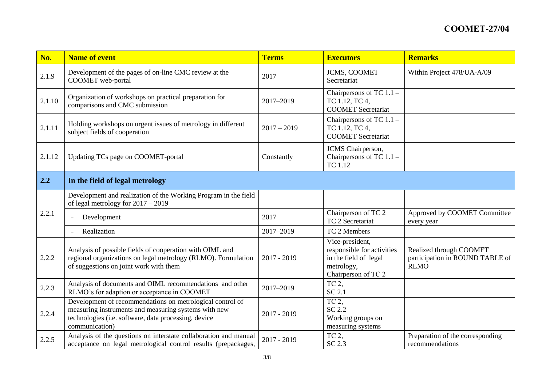| No.    | <b>Name of event</b>                                                                                                                                                                        | <b>Terms</b>  | <b>Executors</b>                                                                                            | <b>Remarks</b>                                                            |
|--------|---------------------------------------------------------------------------------------------------------------------------------------------------------------------------------------------|---------------|-------------------------------------------------------------------------------------------------------------|---------------------------------------------------------------------------|
| 2.1.9  | Development of the pages of on-line CMC review at the<br>COOMET web-portal                                                                                                                  | 2017          | JCMS, COOMET<br>Secretariat                                                                                 | Within Project 478/UA-A/09                                                |
| 2.1.10 | Organization of workshops on practical preparation for<br>comparisons and CMC submission                                                                                                    | 2017-2019     | Chairpersons of TC $1.1-$<br>TC 1.12, TC 4,<br><b>COOMET</b> Secretariat                                    |                                                                           |
| 2.1.11 | Holding workshops on urgent issues of metrology in different<br>subject fields of cooperation                                                                                               | $2017 - 2019$ | Chairpersons of TC $1.1 -$<br>TC 1.12, TC 4,<br><b>COOMET</b> Secretariat                                   |                                                                           |
| 2.1.12 | Updating TCs page on COOMET-portal                                                                                                                                                          | Constantly    | JCMS Chairperson,<br>Chairpersons of TC $1.1 -$<br>TC 1.12                                                  |                                                                           |
| 2.2    | In the field of legal metrology                                                                                                                                                             |               |                                                                                                             |                                                                           |
|        | Development and realization of the Working Program in the field<br>of legal metrology for $2017 - 2019$                                                                                     |               |                                                                                                             |                                                                           |
| 2.2.1  | Development                                                                                                                                                                                 | 2017          | Chairperson of TC 2<br>TC 2 Secretariat                                                                     | Approved by COOMET Committee<br>every year                                |
|        | Realization                                                                                                                                                                                 | 2017-2019     | TC 2 Members                                                                                                |                                                                           |
| 2.2.2  | Analysis of possible fields of cooperation with OIML and<br>regional organizations on legal metrology (RLMO). Formulation<br>of suggestions on joint work with them                         | $2017 - 2019$ | Vice-president,<br>responsible for activities<br>in the field of legal<br>metrology,<br>Chairperson of TC 2 | Realized through COOMET<br>participation in ROUND TABLE of<br><b>RLMO</b> |
| 2.2.3  | Analysis of documents and OIML recommendations and other<br>RLMO's for adaption or acceptance in COOMET                                                                                     | 2017-2019     | TC 2,<br>SC 2.1                                                                                             |                                                                           |
| 2.2.4  | Development of recommendations on metrological control of<br>measuring instruments and measuring systems with new<br>technologies (i.e. software, data processing, device<br>communication) | $2017 - 2019$ | TC <sub>2</sub><br>SC 2.2<br>Working groups on<br>measuring systems                                         |                                                                           |
| 2.2.5  | Analysis of the questions on interstate collaboration and manual<br>acceptance on legal metrological control results (prepackages,                                                          | $2017 - 2019$ | TC 2,<br>SC 2.3                                                                                             | Preparation of the corresponding<br>recommendations                       |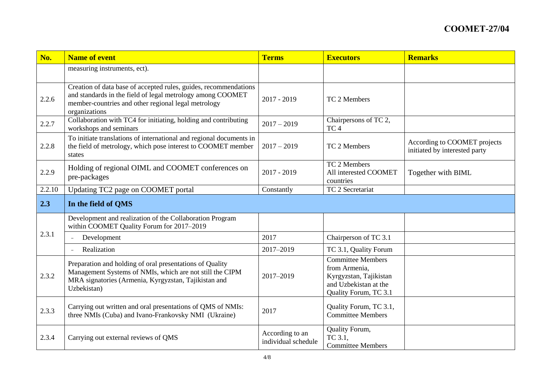| No.    | <b>Name of event</b>                                                                                                                                                                                   | <b>Terms</b>                           | <b>Executors</b>                                                                                                      | <b>Remarks</b>                                                |
|--------|--------------------------------------------------------------------------------------------------------------------------------------------------------------------------------------------------------|----------------------------------------|-----------------------------------------------------------------------------------------------------------------------|---------------------------------------------------------------|
|        | measuring instruments, ect).                                                                                                                                                                           |                                        |                                                                                                                       |                                                               |
| 2.2.6  | Creation of data base of accepted rules, guides, recommendations<br>and standards in the field of legal metrology among COOMET<br>member-countries and other regional legal metrology<br>organizations | $2017 - 2019$                          | TC 2 Members                                                                                                          |                                                               |
| 2.2.7  | Collaboration with TC4 for initiating, holding and contributing<br>workshops and seminars                                                                                                              | $2017 - 2019$                          | Chairpersons of TC 2,<br>TC <sub>4</sub>                                                                              |                                                               |
| 2.2.8  | To initiate translations of international and regional documents in<br>the field of metrology, which pose interest to COOMET member<br>states                                                          | $2017 - 2019$                          | TC 2 Members                                                                                                          | According to COOMET projects<br>initiated by interested party |
| 2.2.9  | Holding of regional OIML and COOMET conferences on<br>pre-packages                                                                                                                                     | $2017 - 2019$                          | TC 2 Members<br>All interested COOMET<br>countries                                                                    | Together with BIML                                            |
| 2.2.10 | Updating TC2 page on COOMET portal                                                                                                                                                                     | Constantly                             | TC 2 Secretariat                                                                                                      |                                                               |
| 2.3    | In the field of QMS                                                                                                                                                                                    |                                        |                                                                                                                       |                                                               |
|        | Development and realization of the Collaboration Program<br>within COOMET Quality Forum for 2017-2019                                                                                                  |                                        |                                                                                                                       |                                                               |
| 2.3.1  | Development                                                                                                                                                                                            | 2017                                   | Chairperson of TC 3.1                                                                                                 |                                                               |
|        | Realization                                                                                                                                                                                            | 2017-2019                              | TC 3.1, Quality Forum                                                                                                 |                                                               |
| 2.3.2  | Preparation and holding of oral presentations of Quality<br>Management Systems of NMIs, which are not still the CIPM<br>MRA signatories (Armenia, Kyrgyzstan, Tajikistan and<br>Uzbekistan)            | 2017-2019                              | <b>Committee Members</b><br>from Armenia,<br>Kyrgyzstan, Tajikistan<br>and Uzbekistan at the<br>Quality Forum, TC 3.1 |                                                               |
| 2.3.3  | Carrying out written and oral presentations of QMS of NMIs:<br>three NMIs (Cuba) and Ivano-Frankovsky NMI (Ukraine)                                                                                    | 2017                                   | Quality Forum, TC 3.1,<br><b>Committee Members</b>                                                                    |                                                               |
| 2.3.4  | Carrying out external reviews of QMS                                                                                                                                                                   | According to an<br>individual schedule | Quality Forum,<br>TC 3.1,<br><b>Committee Members</b>                                                                 |                                                               |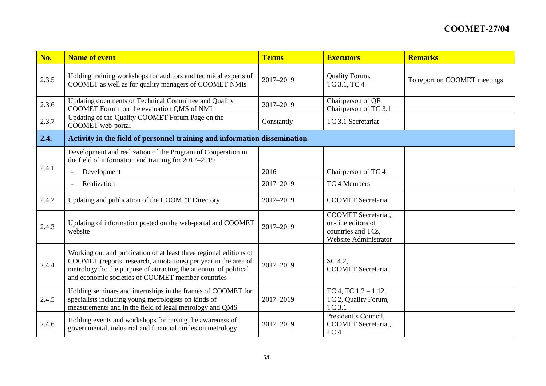| No.   | <b>Name of event</b>                                                                                                                                                                                                                                             | <b>Terms</b> | <b>Executors</b>                                                                                | <b>Remarks</b>               |
|-------|------------------------------------------------------------------------------------------------------------------------------------------------------------------------------------------------------------------------------------------------------------------|--------------|-------------------------------------------------------------------------------------------------|------------------------------|
| 2.3.5 | Holding training workshops for auditors and technical experts of<br>COOMET as well as for quality managers of COOMET NMIs                                                                                                                                        | 2017-2019    | Quality Forum,<br>TC 3.1, TC 4                                                                  | To report on COOMET meetings |
| 2.3.6 | Updating documents of Technical Committee and Quality<br>COOMET Forum on the evaluation QMS of NMI                                                                                                                                                               | 2017-2019    | Chairperson of QF,<br>Chairperson of TC 3.1                                                     |                              |
| 2.3.7 | Updating of the Quality COOMET Forum Page on the<br>COOMET web-portal                                                                                                                                                                                            | Constantly   | TC 3.1 Secretariat                                                                              |                              |
| 2.4.  | Activity in the field of personnel training and information dissemination                                                                                                                                                                                        |              |                                                                                                 |                              |
|       | Development and realization of the Program of Cooperation in<br>the field of information and training for 2017-2019                                                                                                                                              |              |                                                                                                 |                              |
| 2.4.1 | Development                                                                                                                                                                                                                                                      | 2016         | Chairperson of TC 4                                                                             |                              |
|       | Realization                                                                                                                                                                                                                                                      | 2017-2019    | TC 4 Members                                                                                    |                              |
| 2.4.2 | Updating and publication of the COOMET Directory                                                                                                                                                                                                                 | 2017-2019    | <b>COOMET</b> Secretariat                                                                       |                              |
| 2.4.3 | Updating of information posted on the web-portal and COOMET<br>website                                                                                                                                                                                           | 2017-2019    | <b>COOMET</b> Secretariat,<br>on-line editors of<br>countries and TCs,<br>Website Administrator |                              |
| 2.4.4 | Working out and publication of at least three regional editions of<br>COOMET (reports, research, annotations) per year in the area of<br>metrology for the purpose of attracting the attention of political<br>and economic societies of COOMET member countries | 2017-2019    | SC 4.2.<br><b>COOMET</b> Secretariat                                                            |                              |
| 2.4.5 | Holding seminars and internships in the frames of COOMET for<br>specialists including young metrologists on kinds of<br>measurements and in the field of legal metrology and QMS                                                                                 | 2017-2019    | TC 4, TC 1.2 - 1.12,<br>TC 2, Quality Forum,<br><b>TC 3.1</b>                                   |                              |
| 2.4.6 | Holding events and workshops for raising the awareness of<br>governmental, industrial and financial circles on metrology                                                                                                                                         | 2017-2019    | President's Council,<br><b>COOMET</b> Secretariat,<br>TC <sub>4</sub>                           |                              |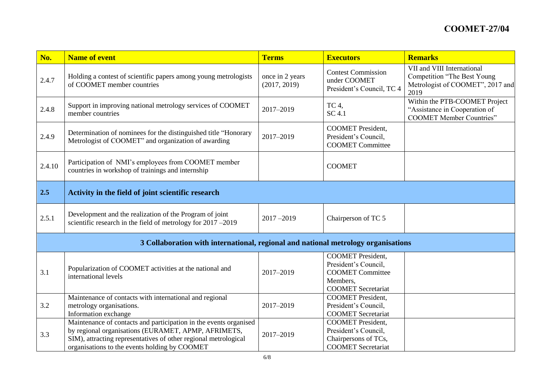| No.    | <b>Name of event</b>                                                                                                                                                                                                                         | <b>Terms</b>                    | <b>Executors</b>                                                                                                     | <b>Remarks</b>                                                                                               |
|--------|----------------------------------------------------------------------------------------------------------------------------------------------------------------------------------------------------------------------------------------------|---------------------------------|----------------------------------------------------------------------------------------------------------------------|--------------------------------------------------------------------------------------------------------------|
| 2.4.7  | Holding a contest of scientific papers among young metrologists<br>of COOMET member countries                                                                                                                                                | once in 2 years<br>(2017, 2019) | <b>Contest Commission</b><br>under COOMET<br>President's Council, TC 4                                               | VII and VIII International<br><b>Competition "The Best Young</b><br>Metrologist of COOMET", 2017 and<br>2019 |
| 2.4.8  | Support in improving national metrology services of COOMET<br>member countries                                                                                                                                                               | 2017-2019                       | TC 4,<br>SC 4.1                                                                                                      | Within the PTB-COOMET Project<br>"Assistance in Cooperation of<br><b>COOMET Member Countries"</b>            |
| 2.4.9  | Determination of nominees for the distinguished title "Honorary<br>Metrologist of COOMET" and organization of awarding                                                                                                                       | 2017-2019                       | <b>COOMET</b> President,<br>President's Council,<br><b>COOMET Committee</b>                                          |                                                                                                              |
| 2.4.10 | Participation of NMI's employees from COOMET member<br>countries in workshop of trainings and internship                                                                                                                                     |                                 | <b>COOMET</b>                                                                                                        |                                                                                                              |
| 2.5    | Activity in the field of joint scientific research                                                                                                                                                                                           |                                 |                                                                                                                      |                                                                                                              |
| 2.5.1  | Development and the realization of the Program of joint<br>scientific research in the field of metrology for 2017 -2019                                                                                                                      | $2017 - 2019$                   | Chairperson of TC 5                                                                                                  |                                                                                                              |
|        | 3 Collaboration with international, regional and national metrology organisations                                                                                                                                                            |                                 |                                                                                                                      |                                                                                                              |
| 3.1    | Popularization of COOMET activities at the national and<br>international levels                                                                                                                                                              | 2017-2019                       | <b>COOMET</b> President,<br>President's Council,<br><b>COOMET Committee</b><br>Members,<br><b>COOMET</b> Secretariat |                                                                                                              |
| 3.2    | Maintenance of contacts with international and regional<br>metrology organisations.<br>Information exchange                                                                                                                                  | 2017-2019                       | <b>COOMET</b> President,<br>President's Council,<br><b>COOMET</b> Secretariat                                        |                                                                                                              |
| 3.3    | Maintenance of contacts and participation in the events organised<br>by regional organisations (EURAMET, APMP, AFRIMETS,<br>SIM), attracting representatives of other regional metrological<br>organisations to the events holding by COOMET | 2017-2019                       | <b>COOMET</b> President,<br>President's Council,<br>Chairpersons of TCs,<br><b>COOMET</b> Secretariat                |                                                                                                              |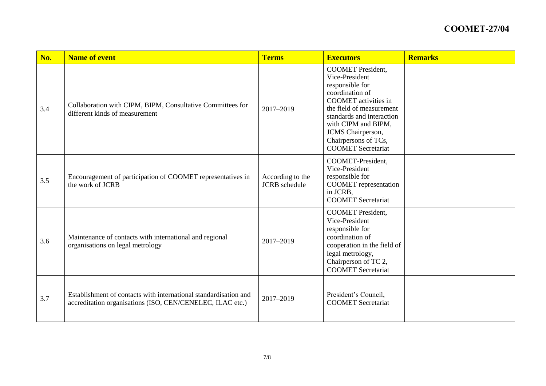| No. | <b>Name of event</b>                                                                                                          | <b>Terms</b>                             | <b>Executors</b>                                                                                                                                                                                                                                                          | <b>Remarks</b> |
|-----|-------------------------------------------------------------------------------------------------------------------------------|------------------------------------------|---------------------------------------------------------------------------------------------------------------------------------------------------------------------------------------------------------------------------------------------------------------------------|----------------|
| 3.4 | Collaboration with CIPM, BIPM, Consultative Committees for<br>different kinds of measurement                                  | 2017-2019                                | <b>COOMET</b> President,<br>Vice-President<br>responsible for<br>coordination of<br><b>COOMET</b> activities in<br>the field of measurement<br>standards and interaction<br>with CIPM and BIPM,<br>JCMS Chairperson,<br>Chairpersons of TCs,<br><b>COOMET</b> Secretariat |                |
| 3.5 | Encouragement of participation of COOMET representatives in<br>the work of JCRB                                               | According to the<br><b>JCRB</b> schedule | COOMET-President,<br>Vice-President<br>responsible for<br><b>COOMET</b> representation<br>in JCRB,<br><b>COOMET</b> Secretariat                                                                                                                                           |                |
| 3.6 | Maintenance of contacts with international and regional<br>organisations on legal metrology                                   | 2017-2019                                | <b>COOMET</b> President,<br>Vice-President<br>responsible for<br>coordination of<br>cooperation in the field of<br>legal metrology,<br>Chairperson of TC 2,<br><b>COOMET</b> Secretariat                                                                                  |                |
| 3.7 | Establishment of contacts with international standardisation and<br>accreditation organisations (ISO, CEN/CENELEC, ILAC etc.) | 2017-2019                                | President's Council,<br><b>COOMET</b> Secretariat                                                                                                                                                                                                                         |                |